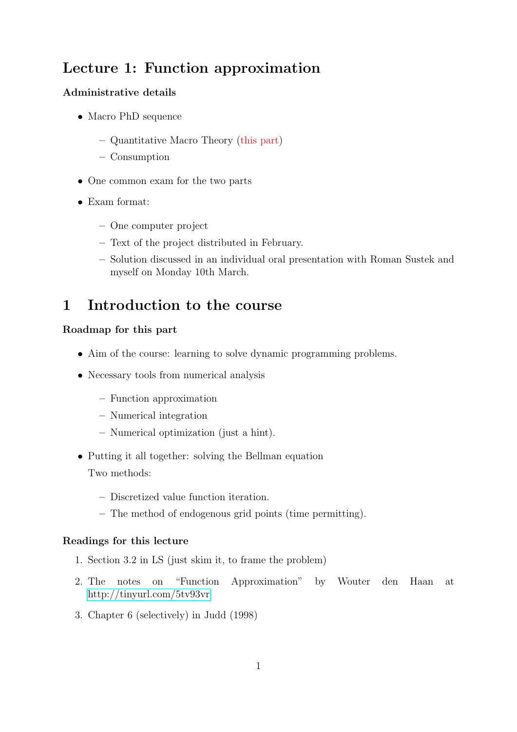# <span id="page-0-0"></span>Lecture 1: Function approximation

## Administrative details

- Macro PhD sequence
	- Quantitative Macro Theory (this part)
	- Consumption
- One common exam for the two parts
- Exam format:
	- One computer project
	- Text of the project distributed in February.
	- Solution discussed in an individual oral presentation with Roman Sustek and myself on Monday 10th March.

# 1 Introduction to the course

## Roadmap for this part

- Aim of the course: learning to solve dynamic programming problems.
- Necessary tools from numerical analysis
	- Function approximation
	- Numerical integration
	- Numerical optimization (just a hint).
- Putting it all together: solving the Bellman equation Two methods:
	- Discretized value function iteration.
	- The method of endogenous grid points (time permitting).

## Readings for this lecture

- 1. Section 3.2 in LS (just skim it, to frame the problem)
- 2. The notes on "Function Approximation" by Wouter den Haan at <http://tinyurl.com/5tv93vr>
- 3. Chapter 6 (selectively) in Judd (1998)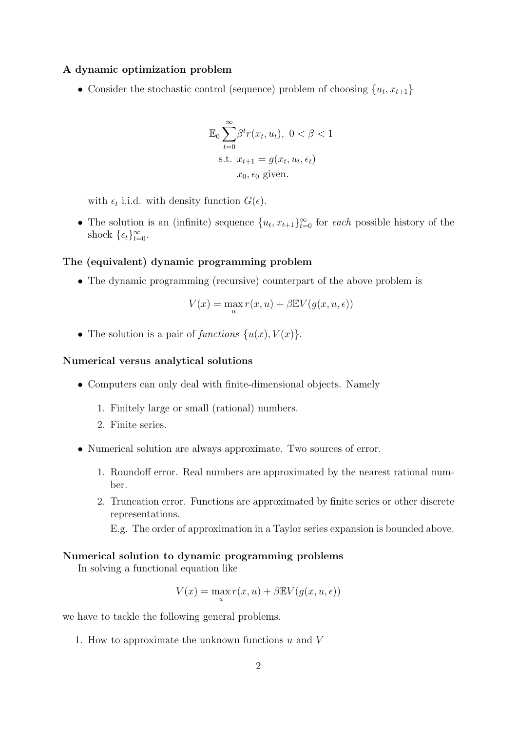#### A dynamic optimization problem

• Consider the stochastic control (sequence) problem of choosing  $\{u_t, x_{t+1}\}$ 

$$
\mathbb{E}_0 \sum_{t=0}^{\infty} \beta^t r(x_t, u_t), \ 0 < \beta < 1
$$
\n
$$
\text{s.t. } x_{t+1} = g(x_t, u_t, \epsilon_t)
$$
\n
$$
x_0, \epsilon_0 \text{ given.}
$$

with  $\epsilon_t$  i.i.d. with density function  $G(\epsilon)$ .

• The solution is an (infinite) sequence  $\{u_t, x_{t+1}\}_{t=0}^{\infty}$  for each possible history of the shock  $\{\epsilon_t\}_{t=0}^{\infty}$ .

#### The (equivalent) dynamic programming problem

• The dynamic programming (recursive) counterpart of the above problem is

$$
V(x) = \max_{u} r(x, u) + \beta \mathbb{E} V(g(x, u, \epsilon))
$$

• The solution is a pair of functions  $\{u(x), V(x)\}.$ 

#### Numerical versus analytical solutions

- Computers can only deal with finite-dimensional objects. Namely
	- 1. Finitely large or small (rational) numbers.
	- 2. Finite series.
- Numerical solution are always approximate. Two sources of error.
	- 1. Roundoff error. Real numbers are approximated by the nearest rational number.
	- 2. Truncation error. Functions are approximated by finite series or other discrete representations.
		- E.g. The order of approximation in a Taylor series expansion is bounded above.

#### Numerical solution to dynamic programming problems

In solving a functional equation like

$$
V(x) = \max_{u} r(x, u) + \beta \mathbb{E} V(g(x, u, \epsilon))
$$

we have to tackle the following general problems.

1. How to approximate the unknown functions  $u$  and  $V$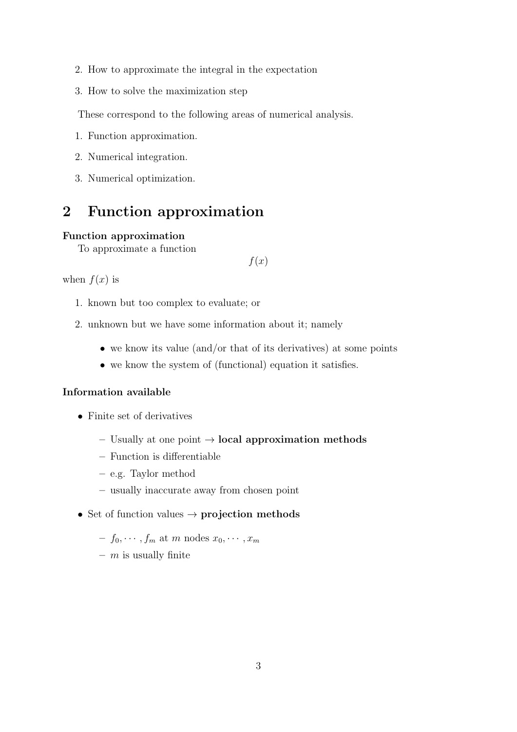- 2. How to approximate the integral in the expectation
- 3. How to solve the maximization step

These correspond to the following areas of numerical analysis.

- 1. Function approximation.
- 2. Numerical integration.
- 3. Numerical optimization.

# 2 Function approximation

#### Function approximation

To approximate a function

 $f(x)$ 

when  $f(x)$  is

- 1. known but too complex to evaluate; or
- 2. unknown but we have some information about it; namely
	- we know its value (and/or that of its derivatives) at some points
	- we know the system of (functional) equation it satisfies.

#### Information available

- Finite set of derivatives
	- Usually at one point  $\rightarrow$  **local approximation methods**
	- Function is differentiable
	- e.g. Taylor method
	- usually inaccurate away from chosen point
- Set of function values  $\rightarrow$  projection methods
	- $-f_0, \dots, f_m$  at m nodes  $x_0, \dots, x_m$
	- $m$  is usually finite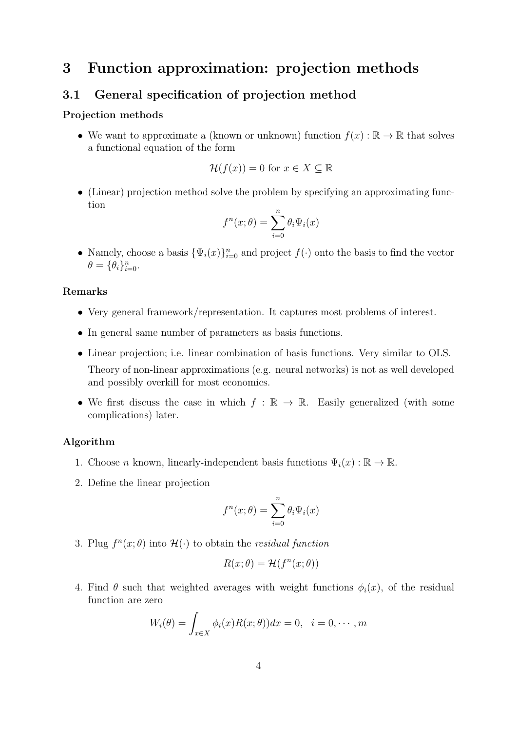## 3 Function approximation: projection methods

## 3.1 General specification of projection method

#### Projection methods

• We want to approximate a (known or unknown) function  $f(x): \mathbb{R} \to \mathbb{R}$  that solves a functional equation of the form

$$
\mathcal{H}(f(x)) = 0 \text{ for } x \in X \subseteq \mathbb{R}
$$

• (Linear) projection method solve the problem by specifying an approximating function

$$
f^{n}(x; \theta) = \sum_{i=0}^{n} \theta_{i} \Psi_{i}(x)
$$

• Namely, choose a basis  ${\Psi_i(x)}_{i=0}^n$  and project  $f(\cdot)$  onto the basis to find the vector  $\theta = {\theta_i}_{i=0}^n$ .

### Remarks

- Very general framework/representation. It captures most problems of interest.
- In general same number of parameters as basis functions.
- Linear projection; i.e. linear combination of basis functions. Very similar to OLS. Theory of non-linear approximations (e.g. neural networks) is not as well developed and possibly overkill for most economics.
- We first discuss the case in which  $f : \mathbb{R} \to \mathbb{R}$ . Easily generalized (with some complications) later.

#### Algorithm

- 1. Choose *n* known, linearly-independent basis functions  $\Psi_i(x): \mathbb{R} \to \mathbb{R}$ .
- 2. Define the linear projection

$$
f^{n}(x; \theta) = \sum_{i=0}^{n} \theta_{i} \Psi_{i}(x)
$$

3. Plug  $f^{n}(x; \theta)$  into  $\mathcal{H}(\cdot)$  to obtain the *residual function* 

$$
R(x; \theta) = \mathcal{H}(f^n(x; \theta))
$$

4. Find  $\theta$  such that weighted averages with weight functions  $\phi_i(x)$ , of the residual function are zero

$$
W_i(\theta) = \int_{x \in X} \phi_i(x) R(x; \theta) dx = 0, \quad i = 0, \dots, m
$$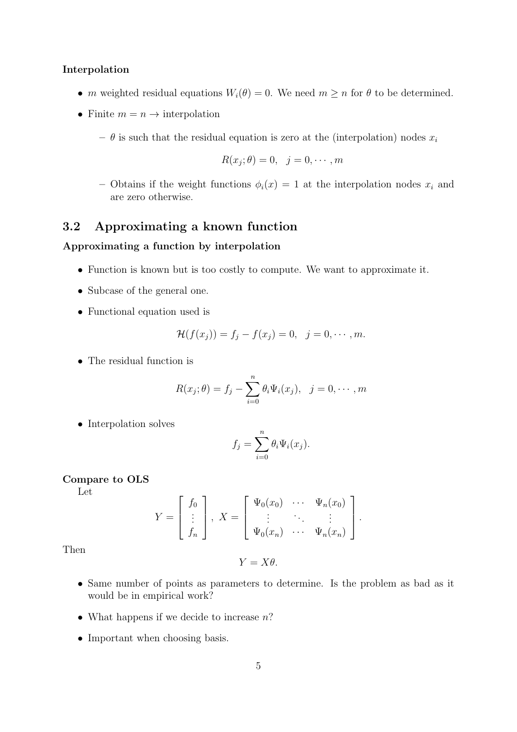#### Interpolation

- m weighted residual equations  $W_i(\theta) = 0$ . We need  $m \geq n$  for  $\theta$  to be determined.
- Finite  $m = n \rightarrow$  interpolation
	- $\theta$  is such that the residual equation is zero at the (interpolation) nodes  $x_i$

$$
R(x_j; \theta) = 0, \quad j = 0, \cdots, m
$$

– Obtains if the weight functions  $\phi_i(x) = 1$  at the interpolation nodes  $x_i$  and are zero otherwise.

## 3.2 Approximating a known function

#### Approximating a function by interpolation

- Function is known but is too costly to compute. We want to approximate it.
- Subcase of the general one.
- Functional equation used is

$$
\mathcal{H}(f(x_j))=f_j-f(x_j)=0, \ \ j=0,\cdots,m.
$$

• The residual function is

$$
R(x_j; \theta) = f_j - \sum_{i=0}^n \theta_i \Psi_i(x_j), \quad j = 0, \cdots, m
$$

• Interpolation solves

$$
f_j = \sum_{i=0}^n \theta_i \Psi_i(x_j).
$$

## Compare to OLS

Let

$$
Y = \begin{bmatrix} f_0 \\ \vdots \\ f_n \end{bmatrix}, X = \begin{bmatrix} \Psi_0(x_0) & \cdots & \Psi_n(x_0) \\ \vdots & \ddots & \vdots \\ \Psi_0(x_n) & \cdots & \Psi_n(x_n) \end{bmatrix}.
$$

Then

$$
Y=X\theta.
$$

- Same number of points as parameters to determine. Is the problem as bad as it would be in empirical work?
- What happens if we decide to increase  $n$ ?
- Important when choosing basis.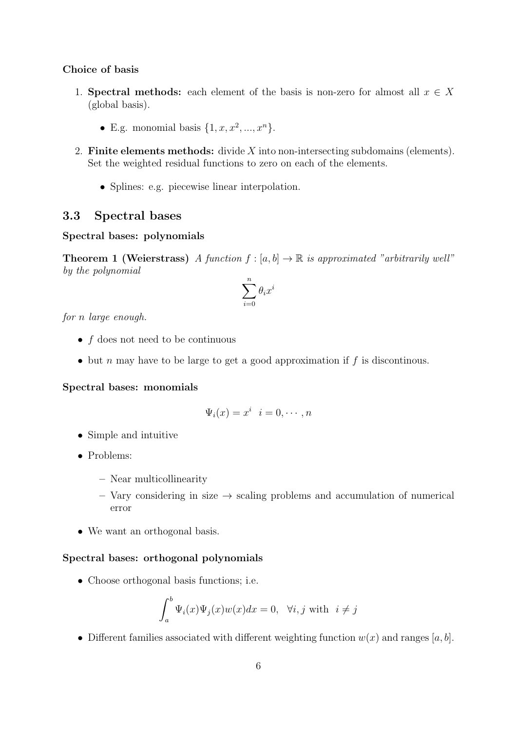#### Choice of basis

- 1. Spectral methods: each element of the basis is non-zero for almost all  $x \in X$ (global basis).
	- E.g. monomial basis  $\{1, x, x^2, ..., x^n\}$ .
- 2. Finite elements methods: divide  $X$  into non-intersecting subdomains (elements). Set the weighted residual functions to zero on each of the elements.
	- Splines: e.g. piecewise linear interpolation.

## 3.3 Spectral bases

#### Spectral bases: polynomials

**Theorem 1 (Weierstrass)** A function  $f : [a, b] \to \mathbb{R}$  is approximated "arbitrarily well" by the polynomial

$$
\sum_{i=0}^n \theta_i x^i
$$

for n large enough.

- $\bullet$  f does not need to be continuous
- but n may have to be large to get a good approximation if  $f$  is discontinous.

#### Spectral bases: monomials

$$
\Psi_i(x) = x^i \quad i = 0, \cdots, n
$$

- Simple and intuitive
- Problems:
	- Near multicollinearity
	- Vary considering in size  $\rightarrow$  scaling problems and accumulation of numerical error
- We want an orthogonal basis.

#### Spectral bases: orthogonal polynomials

• Choose orthogonal basis functions; i.e.

$$
\int_a^b \Psi_i(x) \Psi_j(x) w(x) dx = 0, \quad \forall i, j \text{ with } i \neq j
$$

• Different families associated with different weighting function  $w(x)$  and ranges [a, b].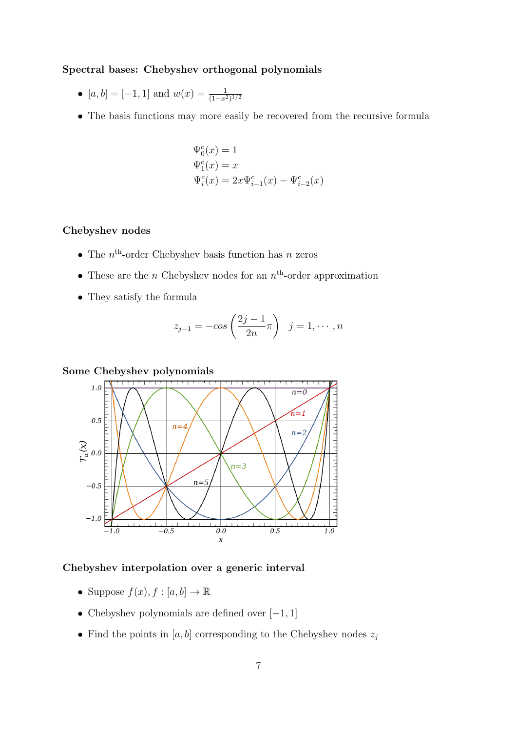#### Spectral bases: Chebyshev orthogonal polynomials

- $[a, b] = [-1, 1]$  and  $w(x) = \frac{1}{(1-x^2)^{1/2}}$
- The basis functions may more easily be recovered from the recursive formula

$$
\Psi_0^c(x) = 1
$$
  
\n
$$
\Psi_1^c(x) = x
$$
  
\n
$$
\Psi_i^c(x) = 2x \Psi_{i-1}^c(x) - \Psi_{i-2}^c(x)
$$

#### Chebyshev nodes

- The  $n<sup>th</sup>$ -order Chebyshev basis function has n zeros
- These are the *n* Chebyshev nodes for an  $n^{\text{th}}$ -order approximation
- They satisfy the formula

$$
z_{j-1} = -\cos\left(\frac{2j-1}{2n}\pi\right) \quad j = 1, \cdots, n
$$

#### Some Chebyshev polynomials



#### Chebyshev interpolation over a generic interval

- Suppose  $f(x), f : [a, b] \to \mathbb{R}$
- Chebyshev polynomials are defined over  $[-1, 1]$
- Find the points in  $[a, b]$  corresponding to the Chebyshev nodes  $z_j$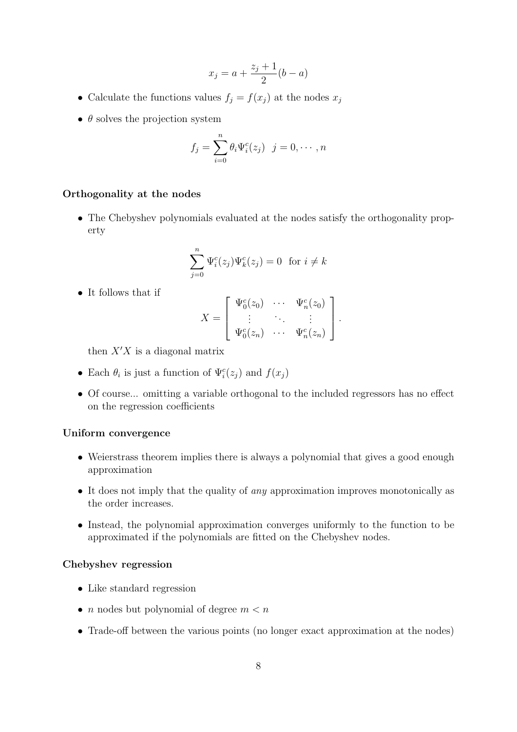$$
x_j = a + \frac{z_j + 1}{2}(b - a)
$$

- Calculate the functions values  $f_j = f(x_j)$  at the nodes  $x_j$
- $\theta$  solves the projection system

$$
f_j = \sum_{i=0}^n \theta_i \Psi_i^c(z_j) \quad j = 0, \cdots, n
$$

#### Orthogonality at the nodes

• The Chebyshev polynomials evaluated at the nodes satisfy the orthogonality property

$$
\sum_{j=0}^{n} \Psi_i^c(z_j) \Psi_k^c(z_j) = 0 \text{ for } i \neq k
$$

• It follows that if

$$
X = \left[ \begin{array}{ccc} \Psi_0^c(z_0) & \cdots & \Psi_n^c(z_0) \\ \vdots & \ddots & \vdots \\ \Psi_0^c(z_n) & \cdots & \Psi_n^c(z_n) \end{array} \right].
$$

then  $X'X$  is a diagonal matrix

- Each  $\theta_i$  is just a function of  $\Psi_i^c(z_j)$  and  $f(x_j)$
- Of course... omitting a variable orthogonal to the included regressors has no effect on the regression coefficients

#### Uniform convergence

- Weierstrass theorem implies there is always a polynomial that gives a good enough approximation
- It does not imply that the quality of any approximation improves monotonically as the order increases.
- Instead, the polynomial approximation converges uniformly to the function to be approximated if the polynomials are fitted on the Chebyshev nodes.

#### Chebyshev regression

- Like standard regression
- *n* nodes but polynomial of degree  $m < n$
- Trade-off between the various points (no longer exact approximation at the nodes)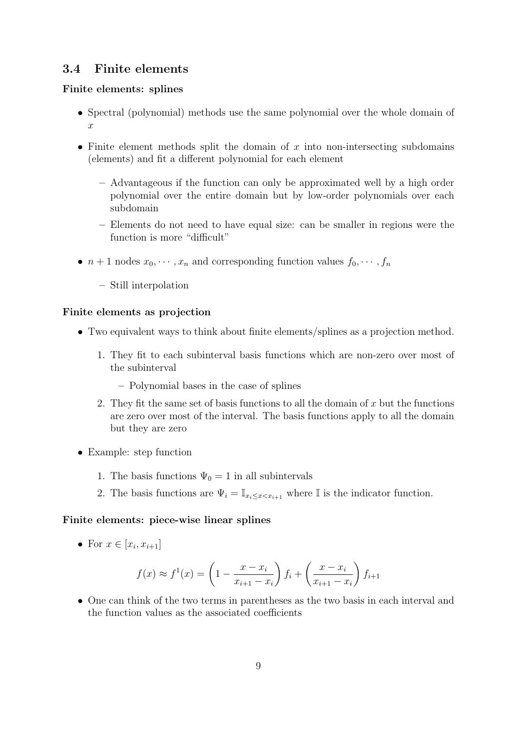## 3.4 Finite elements

#### Finite elements: splines

- Spectral (polynomial) methods use the same polynomial over the whole domain of  $\boldsymbol{x}$
- Finite element methods split the domain of  $x$  into non-intersecting subdomains (elements) and fit a different polynomial for each element
	- Advantageous if the function can only be approximated well by a high order polynomial over the entire domain but by low-order polynomials over each subdomain
	- Elements do not need to have equal size: can be smaller in regions were the function is more "difficult"
- $n+1$  nodes  $x_0, \dots, x_n$  and corresponding function values  $f_0, \dots, f_n$ 
	- Still interpolation

#### Finite elements as projection

- Two equivalent ways to think about finite elements/splines as a projection method.
	- 1. They fit to each subinterval basis functions which are non-zero over most of the subinterval
		- Polynomial bases in the case of splines
	- 2. They fit the same set of basis functions to all the domain of  $x$  but the functions are zero over most of the interval. The basis functions apply to all the domain but they are zero
- Example: step function
	- 1. The basis functions  $\Psi_0 = 1$  in all subintervals
	- 2. The basis functions are  $\Psi_i = \mathbb{I}_{x_i \leq x \leq x_{i+1}}$  where  $\mathbb I$  is the indicator function.

#### Finite elements: piece-wise linear splines

• For  $x \in [x_i, x_{i+1}]$ 

$$
f(x) \approx f^{1}(x) = \left(1 - \frac{x - x_{i}}{x_{i+1} - x_{i}}\right) f_{i} + \left(\frac{x - x_{i}}{x_{i+1} - x_{i}}\right) f_{i+1}
$$

• One can think of the two terms in parentheses as the two basis in each interval and the function values as the associated coefficients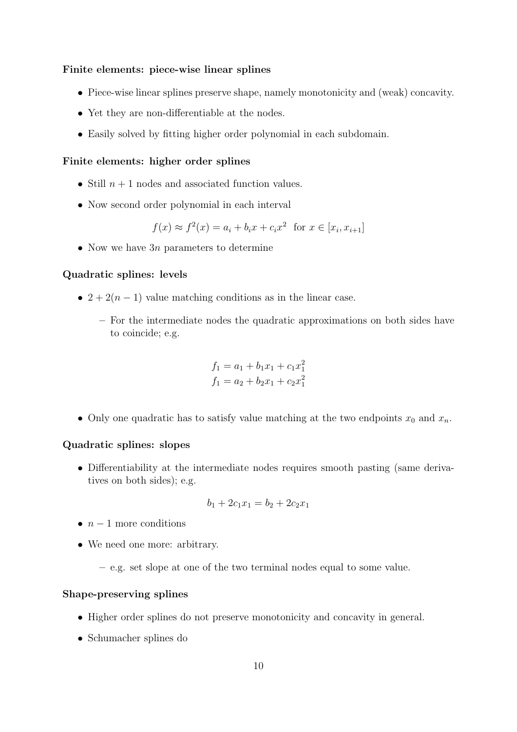#### Finite elements: piece-wise linear splines

- Piece-wise linear splines preserve shape, namely monotonicity and (weak) concavity.
- Yet they are non-differentiable at the nodes.
- Easily solved by fitting higher order polynomial in each subdomain.

#### Finite elements: higher order splines

- Still  $n + 1$  nodes and associated function values.
- Now second order polynomial in each interval

$$
f(x) \approx f^2(x) = a_i + b_i x + c_i x^2
$$
 for  $x \in [x_i, x_{i+1}]$ 

• Now we have  $3n$  parameters to determine

#### Quadratic splines: levels

- $2 + 2(n 1)$  value matching conditions as in the linear case.
	- For the intermediate nodes the quadratic approximations on both sides have to coincide; e.g.

$$
f_1 = a_1 + b_1 x_1 + c_1 x_1^2
$$
  

$$
f_1 = a_2 + b_2 x_1 + c_2 x_1^2
$$

• Only one quadratic has to satisfy value matching at the two endpoints  $x_0$  and  $x_n$ .

#### Quadratic splines: slopes

• Differentiability at the intermediate nodes requires smooth pasting (same derivatives on both sides); e.g.

$$
b_1 + 2c_1x_1 = b_2 + 2c_2x_1
$$

- $n-1$  more conditions
- We need one more: arbitrary.
	- e.g. set slope at one of the two terminal nodes equal to some value.

#### Shape-preserving splines

- Higher order splines do not preserve monotonicity and concavity in general.
- Schumacher splines do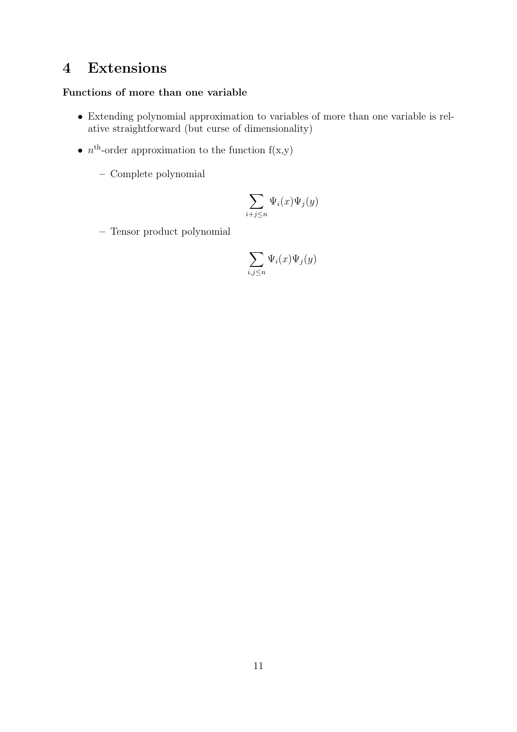# 4 Extensions

## Functions of more than one variable

- Extending polynomial approximation to variables of more than one variable is relative straightforward (but curse of dimensionality)
- $n^{\text{th}}$ -order approximation to the function  $f(x,y)$ 
	- Complete polynomial

$$
\sum_{i+j\leq n}\Psi_i(x)\Psi_j(y)
$$

– Tensor product polynomial

$$
\sum_{i,j\leq n}\Psi_i(x)\Psi_j(y)
$$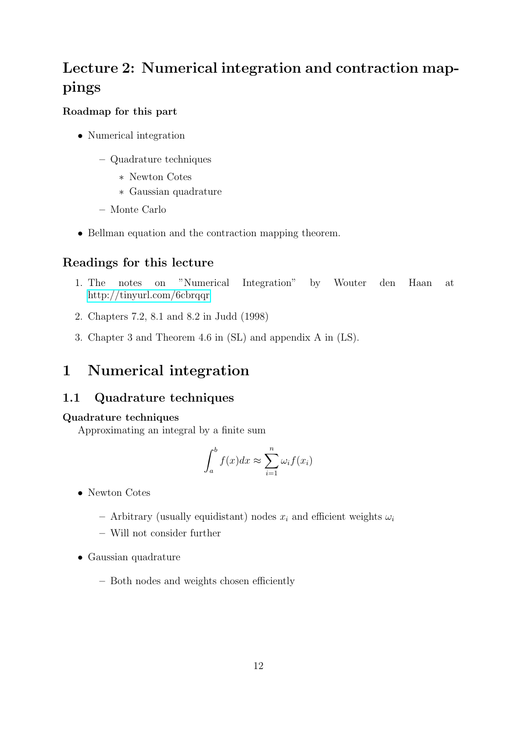# Lecture 2: Numerical integration and contraction mappings

## Roadmap for this part

- Numerical integration
	- Quadrature techniques
		- ∗ Newton Cotes
		- ∗ Gaussian quadrature
	- Monte Carlo
- Bellman equation and the contraction mapping theorem.

## Readings for this lecture

- 1. The notes on "Numerical Integration" by Wouter den Haan at <http://tinyurl.com/6cbrqqr>
- 2. Chapters 7.2, 8.1 and 8.2 in Judd (1998)
- 3. Chapter 3 and Theorem 4.6 in (SL) and appendix A in (LS).

# 1 Numerical integration

## 1.1 Quadrature techniques

### Quadrature techniques

Approximating an integral by a finite sum

$$
\int_a^b f(x)dx \approx \sum_{i=1}^n \omega_i f(x_i)
$$

- Newton Cotes
	- Arbitrary (usually equidistant) nodes  $x_i$  and efficient weights  $\omega_i$
	- Will not consider further
- Gaussian quadrature
	- Both nodes and weights chosen efficiently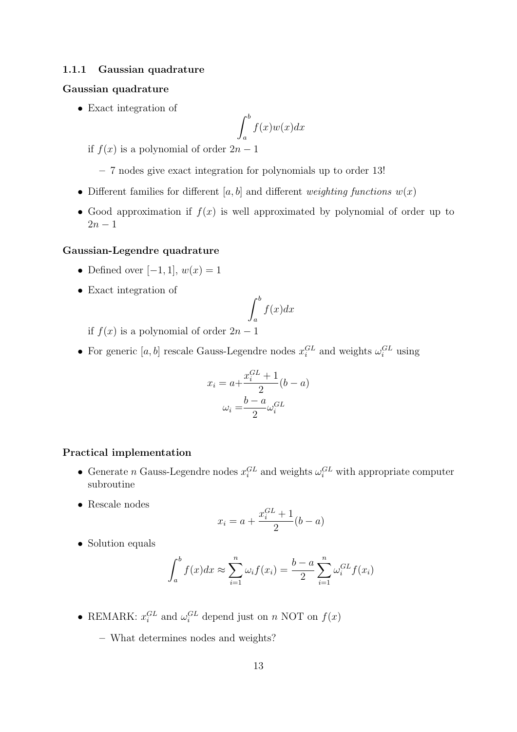#### 1.1.1 Gaussian quadrature

#### Gaussian quadrature

• Exact integration of

$$
\int_{a}^{b} f(x)w(x)dx
$$

if  $f(x)$  is a polynomial of order  $2n-1$ 

- 7 nodes give exact integration for polynomials up to order 13!
- Different families for different [a, b] and different weighting functions  $w(x)$
- Good approximation if  $f(x)$  is well approximated by polynomial of order up to  $2n-1$

#### Gaussian-Legendre quadrature

- Defined over  $[-1, 1], w(x) = 1$
- Exact integration of

$$
\int_{a}^{b} f(x)dx
$$

if  $f(x)$  is a polynomial of order  $2n-1$ 

• For generic  $[a, b]$  rescale Gauss-Legendre nodes  $x_i^{GL}$  and weights  $\omega_i^{GL}$  using

$$
x_i = a + \frac{x_i^{GL} + 1}{2}(b - a)
$$

$$
\omega_i = \frac{b - a}{2}\omega_i^{GL}
$$

#### Practical implementation

- Generate *n* Gauss-Legendre nodes  $x_i^{GL}$  and weights  $\omega_i^{GL}$  with appropriate computer subroutine
- Rescale nodes

$$
x_i = a + \frac{x_i^{GL} + 1}{2}(b - a)
$$

• Solution equals

$$
\int_a^b f(x)dx \approx \sum_{i=1}^n \omega_i f(x_i) = \frac{b-a}{2} \sum_{i=1}^n \omega_i^{GL} f(x_i)
$$

- REMARK:  $x_i^{GL}$  and  $\omega_i^{GL}$  depend just on n NOT on  $f(x)$ 
	- What determines nodes and weights?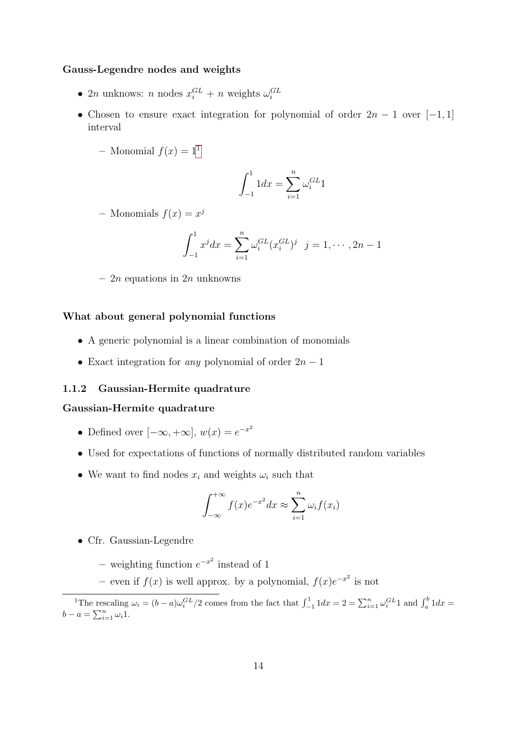#### Gauss-Legendre nodes and weights

- 2*n* unknows: *n* nodes  $x_i^{GL} + n$  weights  $\omega_i^{GL}$
- Chosen to ensure exact integration for polynomial of order  $2n 1$  over  $[-1, 1]$ interval
	- Monomial  $f(x) = 1<sup>1</sup>$  $f(x) = 1<sup>1</sup>$  $f(x) = 1<sup>1</sup>$

$$
\int_{-1}^{1} 1 dx = \sum_{i=1}^{n} \omega_i^{GL} 1
$$

- Monomials  $f(x) = x^j$ 

$$
\int_{-1}^{1} x^{j} dx = \sum_{i=1}^{n} \omega_{i}^{GL} (x_{i}^{GL})^{j} \quad j = 1, \cdots, 2n - 1
$$

–  $2n$  equations in  $2n$  unknowns

#### What about general polynomial functions

- A generic polynomial is a linear combination of monomials
- Exact integration for any polynomial of order  $2n-1$

#### 1.1.2 Gaussian-Hermite quadrature

#### Gaussian-Hermite quadrature

- Defined over  $[-\infty, +\infty]$ ,  $w(x) = e^{-x^2}$
- Used for expectations of functions of normally distributed random variables
- We want to find nodes  $x_i$  and weights  $\omega_i$  such that

$$
\int_{-\infty}^{+\infty} f(x)e^{-x^2}dx \approx \sum_{i=1}^n \omega_i f(x_i)
$$

- Cfr. Gaussian-Legendre
	- weighting function  $e^{-x^2}$  instead of 1
	- even if  $f(x)$  is well approx. by a polynomial,  $f(x)e^{-x^2}$  is not

<sup>1</sup>The rescaling  $\omega_i = (b-a)\omega_i^{GL}/2$  comes from the fact that  $\int_{-1}^{1} 1 dx = 2 = \sum_{i=1}^{n} \omega_i^{GL} 1$  and  $\int_a^b 1 dx =$  $b - a = \sum_{i=1}^{n} \omega_i 1.$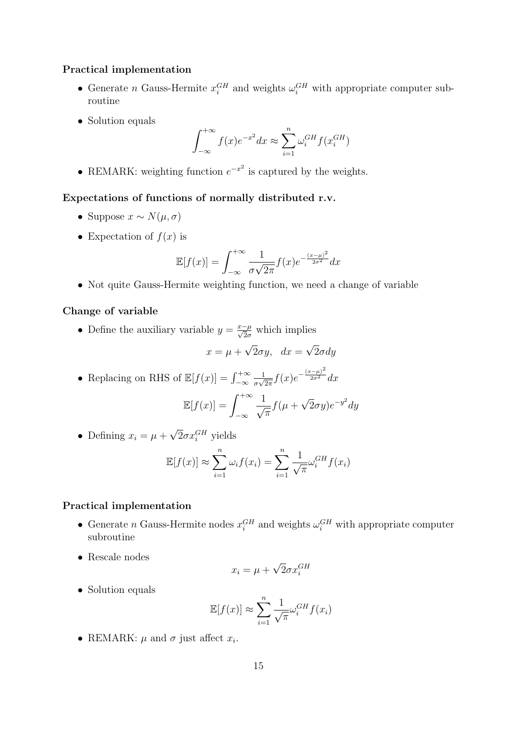#### Practical implementation

- Generate *n* Gauss-Hermite  $x_i^{GH}$  and weights  $\omega_i^{GH}$  with appropriate computer subroutine
- Solution equals

$$
\int_{-\infty}^{+\infty} f(x)e^{-x^2}dx \approx \sum_{i=1}^n \omega_i^{GH} f(x_i^{GH})
$$

• REMARK: weighting function  $e^{-x^2}$  is captured by the weights.

#### Expectations of functions of normally distributed r.v.

- Suppose  $x \sim N(\mu, \sigma)$
- Expectation of  $f(x)$  is

$$
\mathbb{E}[f(x)] = \int_{-\infty}^{+\infty} \frac{1}{\sigma \sqrt{2\pi}} f(x) e^{-\frac{(x-\mu)^2}{2\sigma^2}} dx
$$

• Not quite Gauss-Hermite weighting function, we need a change of variable

#### Change of variable

• Define the auxiliary variable  $y = \frac{x-\mu}{\sqrt{2}\sigma}$  which implies

$$
x = \mu + \sqrt{2}\sigma y, \ dx = \sqrt{2}\sigma dy
$$

• Replacing on RHS of  $\mathbb{E}[f(x)] = \int_{-\infty}^{+\infty}$ 1  $\frac{1}{\sigma\sqrt{2\pi}}f(x)e^{-\frac{(x-\mu)^2}{2\sigma^2}}dx$ 

$$
\mathbb{E}[f(x)] = \int_{-\infty}^{+\infty} \frac{1}{\sqrt{\pi}} f(\mu + \sqrt{2}\sigma y) e^{-y^2} dy
$$

• Defining  $x_i = \mu + \sqrt{2} \sigma x_i^{GH}$  yields

$$
\mathbb{E}[f(x)] \approx \sum_{i=1}^{n} \omega_i f(x_i) = \sum_{i=1}^{n} \frac{1}{\sqrt{\pi}} \omega_i^{GH} f(x_i)
$$

#### Practical implementation

- Generate *n* Gauss-Hermite nodes  $x_i^{GH}$  and weights  $\omega_i^{GH}$  with appropriate computer subroutine
- Rescale nodes

$$
x_i = \mu + \sqrt{2}\sigma x_i^{GH}
$$

• Solution equals

$$
\mathbb{E}[f(x)] \approx \sum_{i=1}^{n} \frac{1}{\sqrt{\pi}} \omega_i^{GH} f(x_i)
$$

• REMARK:  $\mu$  and  $\sigma$  just affect  $x_i$ .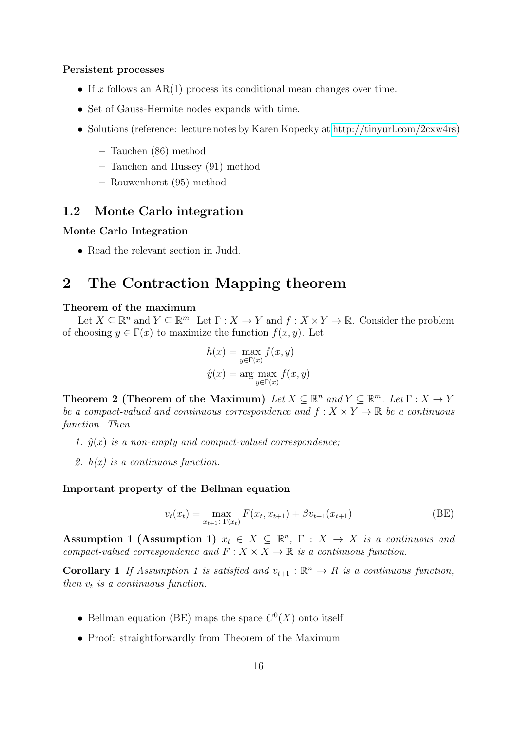#### Persistent processes

- If x follows an  $AR(1)$  process its conditional mean changes over time.
- Set of Gauss-Hermite nodes expands with time.
- Solutions (reference: lecture notes by Karen Kopecky at [http://tinyurl.com/2cxw4rs\)](http://tinyurl.com/2cxw4rs)
	- Tauchen (86) method
	- Tauchen and Hussey (91) method
	- Rouwenhorst (95) method

## 1.2 Monte Carlo integration

#### Monte Carlo Integration

• Read the relevant section in Judd.

# 2 The Contraction Mapping theorem

#### Theorem of the maximum

Let  $X \subseteq \mathbb{R}^n$  and  $Y \subseteq \mathbb{R}^m$ . Let  $\Gamma: X \to Y$  and  $f: X \times Y \to \mathbb{R}$ . Consider the problem of choosing  $y \in \Gamma(x)$  to maximize the function  $f(x, y)$ . Let

$$
h(x) = \max_{y \in \Gamma(x)} f(x, y)
$$

$$
\hat{y}(x) = \arg \max_{y \in \Gamma(x)} f(x, y)
$$

**Theorem 2 (Theorem of the Maximum)** Let  $X \subseteq \mathbb{R}^n$  and  $Y \subseteq \mathbb{R}^m$ . Let  $\Gamma : X \to Y$ be a compact-valued and continuous correspondence and  $f: X \times Y \to \mathbb{R}$  be a continuous function. Then

- 1.  $\hat{y}(x)$  is a non-empty and compact-valued correspondence;
- 2.  $h(x)$  is a continuous function.

#### Important property of the Bellman equation

$$
v_t(x_t) = \max_{x_{t+1} \in \Gamma(x_t)} F(x_t, x_{t+1}) + \beta v_{t+1}(x_{t+1})
$$
 (BE)

Assumption 1 (Assumption 1)  $x_t \in X \subseteq \mathbb{R}^n$ ,  $\Gamma : X \to X$  is a continuous and compact-valued correspondence and  $F: X \times X \to \mathbb{R}$  is a continuous function.

**Corollary 1** If Assumption 1 is satisfied and  $v_{t+1} : \mathbb{R}^n \to R$  is a continuous function, then  $v_t$  is a continuous function.

- Bellman equation (BE) maps the space  $C<sup>0</sup>(X)$  onto itself
- Proof: straightforwardly from Theorem of the Maximum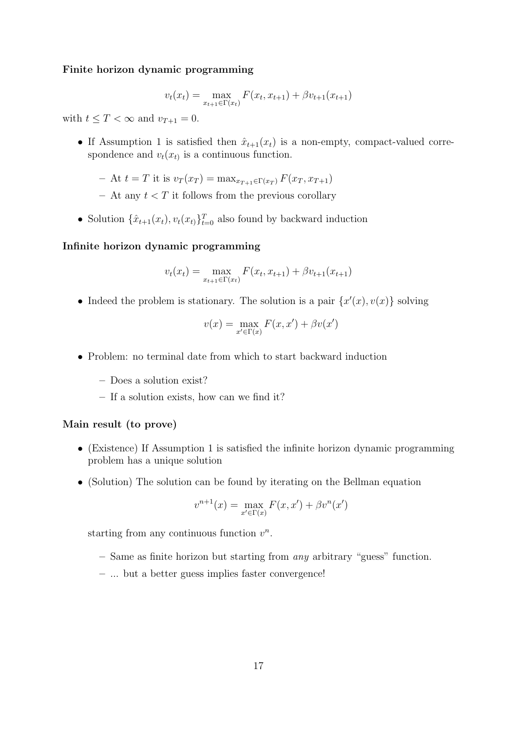#### Finite horizon dynamic programming

$$
v_t(x_t) = \max_{x_{t+1} \in \Gamma(x_t)} F(x_t, x_{t+1}) + \beta v_{t+1}(x_{t+1})
$$

with  $t \leq T < \infty$  and  $v_{T+1} = 0$ .

• If Assumption 1 is satisfied then  $\hat{x}_{t+1}(x_t)$  is a non-empty, compact-valued correspondence and  $v_t(x_t)$  is a continuous function.

– At  $t = T$  it is  $v_T(x_T) = \max_{x_{T+1} \in \Gamma(x_T)} F(x_T, x_{T+1})$ 

– At any  $t < T$  it follows from the previous corollary

• Solution  $\{\hat{x}_{t+1}(x_t), v_t(x_t)\}_{t=0}^T$  also found by backward induction

#### Infinite horizon dynamic programming

$$
v_t(x_t) = \max_{x_{t+1} \in \Gamma(x_t)} F(x_t, x_{t+1}) + \beta v_{t+1}(x_{t+1})
$$

• Indeed the problem is stationary. The solution is a pair  $\{x'(x), v(x)\}$  solving

$$
v(x) = \max_{x' \in \Gamma(x)} F(x, x') + \beta v(x')
$$

- Problem: no terminal date from which to start backward induction
	- Does a solution exist?
	- If a solution exists, how can we find it?

#### Main result (to prove)

- (Existence) If Assumption 1 is satisfied the infinite horizon dynamic programming problem has a unique solution
- (Solution) The solution can be found by iterating on the Bellman equation

$$
v^{n+1}(x) = \max_{x' \in \Gamma(x)} F(x, x') + \beta v^n(x')
$$

starting from any continuous function  $v^n$ .

- Same as finite horizon but starting from any arbitrary "guess" function.
- ... but a better guess implies faster convergence!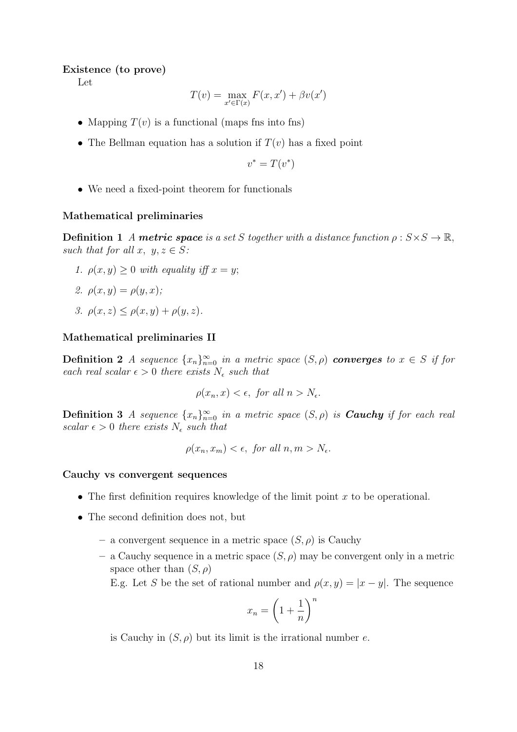#### Existence (to prove)

Let

$$
T(v) = \max_{x' \in \Gamma(x)} F(x, x') + \beta v(x')
$$

- Mapping  $T(v)$  is a functional (maps fns into fns)
- The Bellman equation has a solution if  $T(v)$  has a fixed point

$$
v^* = T(v^*)
$$

• We need a fixed-point theorem for functionals

#### Mathematical preliminaries

**Definition 1** A metric space is a set S together with a distance function  $\rho : S \times S \to \mathbb{R}$ , such that for all  $x, y, z \in S$ :

1.  $\rho(x, y) \geq 0$  with equality iff  $x = y$ ;

$$
\mathcal{Z}. \ \rho(x,y) = \rho(y,x);
$$

3.  $\rho(x, z) \leq \rho(x, y) + \rho(y, z)$ .

#### Mathematical preliminaries II

**Definition 2** A sequence  $\{x_n\}_{n=0}^{\infty}$  in a metric space  $(S, \rho)$  **converges** to  $x \in S$  if for each real scalar  $\epsilon > 0$  there exists  $N_{\epsilon}$  such that

$$
\rho(x_n, x) < \epsilon, \text{ for all } n > N_{\epsilon}.
$$

**Definition 3** A sequence  $\{x_n\}_{n=0}^{\infty}$  in a metric space  $(S, \rho)$  is **Cauchy** if for each real scalar  $\epsilon > 0$  there exists  $N_{\epsilon}$  such that

$$
\rho(x_n, x_m) < \epsilon, \text{ for all } n, m > N_{\epsilon}.
$$

#### Cauchy vs convergent sequences

- The first definition requires knowledge of the limit point  $x$  to be operational.
- The second definition does not, but
	- a convergent sequence in a metric space  $(S, \rho)$  is Cauchy
	- a Cauchy sequence in a metric space  $(S, \rho)$  may be convergent only in a metric space other than  $(S, \rho)$

E.g. Let S be the set of rational number and  $\rho(x, y) = |x - y|$ . The sequence

$$
x_n = \left(1 + \frac{1}{n}\right)^n
$$

is Cauchy in  $(S, \rho)$  but its limit is the irrational number e.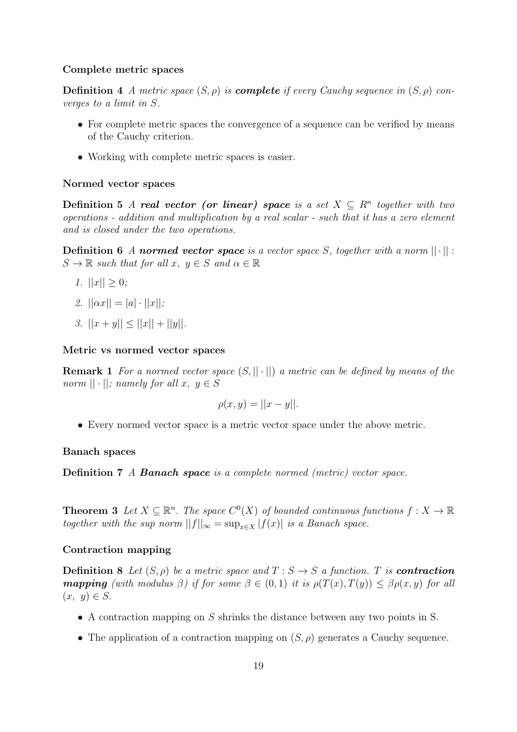#### Complete metric spaces

**Definition 4** A metric space  $(S, \rho)$  is **complete** if every Cauchy sequence in  $(S, \rho)$  converges to a limit in S.

- For complete metric spaces the convergence of a sequence can be verified by means of the Cauchy criterion.
- Working with complete metric spaces is easier.

#### Normed vector spaces

**Definition 5** A real vector (or linear) space is a set  $X \subseteq R^n$  together with two operations - addition and multiplication by a real scalar - such that it has a zero element and is closed under the two operations.

**Definition 6** A normed vector space is a vector space S, together with a norm  $|| \cdot ||$ :  $S \to \mathbb{R}$  such that for all  $x, y \in S$  and  $\alpha \in \mathbb{R}$ 

- 1.  $||x|| > 0$ :
- 2.  $||\alpha x|| = |a| \cdot ||x||;$
- 3.  $||x + y|| < ||x|| + ||y||$ .

#### Metric vs normed vector spaces

**Remark 1** For a normed vector space  $(S, || \cdot ||)$  a metric can be defined by means of the norm  $|| \cdot ||$ ; namely for all  $x, y \in S$ 

$$
\rho(x,y) = ||x - y||.
$$

• Every normed vector space is a metric vector space under the above metric.

#### Banach spaces

Definition 7 A Banach space is a complete normed (metric) vector space.

**Theorem 3** Let  $X \subseteq \mathbb{R}^n$ . The space  $C^0(X)$  of bounded continuous functions  $f : X \to \mathbb{R}$ together with the sup norm  $||f||_{\infty} = \sup_{x \in X} |f(x)|$  is a Banach space.

#### Contraction mapping

**Definition 8** Let  $(S, \rho)$  be a metric space and  $T : S \to S$  a function. T is **contraction mapping** (with modulus β) if for some  $\beta \in (0,1)$  it is  $\rho(T(x), T(y)) \leq \beta \rho(x, y)$  for all  $(x, y) \in S$ .

- A contraction mapping on S shrinks the distance between any two points in S.
- The application of a contraction mapping on  $(S, \rho)$  generates a Cauchy sequence.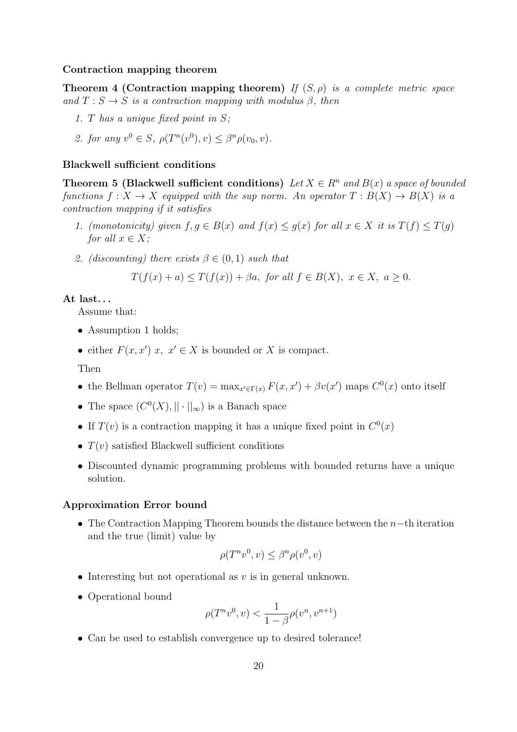#### Contraction mapping theorem

**Theorem 4 (Contraction mapping theorem)** If  $(S, \rho)$  is a complete metric space and  $T : S \to S$  is a contraction mapping with modulus  $\beta$ , then

- 1. T has a unique fixed point in S;
- 2. for any  $v^0 \in S$ ,  $\rho(T^n(v^0), v) \leq \beta^n \rho(v_0, v)$ .

#### Blackwell sufficient conditions

**Theorem 5 (Blackwell sufficient conditions)** Let  $X \in \mathbb{R}^n$  and  $B(x)$  a space of bounded functions  $f: X \to X$  equipped with the sup norm. An operator  $T: B(X) \to B(X)$  is a contraction mapping if it satisfies

- 1. (monotonicity) given  $f, g \in B(x)$  and  $f(x) \le g(x)$  for all  $x \in X$  it is  $T(f) \le T(g)$ for all  $x \in X$ :
- 2. (discounting) there exists  $\beta \in (0,1)$  such that

$$
T(f(x) + a) \le T(f(x)) + \beta a, \text{ for all } f \in B(X), \ x \in X, \ a \ge 0.
$$

#### At last. . .

Assume that:

- Assumption 1 holds;
- either  $F(x, x')$  x,  $x' \in X$  is bounded or X is compact.

Then

- the Bellman operator  $T(v) = \max_{x' \in \Gamma(x)} F(x, x') + \beta v(x')$  maps  $C^0(x)$  onto itself
- The space  $(C^0(X), || \cdot ||_{\infty})$  is a Banach space
- If  $T(v)$  is a contraction mapping it has a unique fixed point in  $C<sup>0</sup>(x)$
- $T(v)$  satisfied Blackwell sufficient conditions
- Discounted dynamic programming problems with bounded returns have a unique solution.

#### Approximation Error bound

• The Contraction Mapping Theorem bounds the distance between the  $n-$ th iteration and the true (limit) value by

$$
\rho(T^n v^0, v) \le \beta^n \rho(v^0, v)
$$

- Interesting but not operational as  $v$  is in general unknown.
- Operational bound

$$
\rho(T^{n}v^{0}, v) < \frac{1}{1 - \beta} \rho(v^{n}, v^{n+1})
$$

• Can be used to establish convergence up to desired tolerance!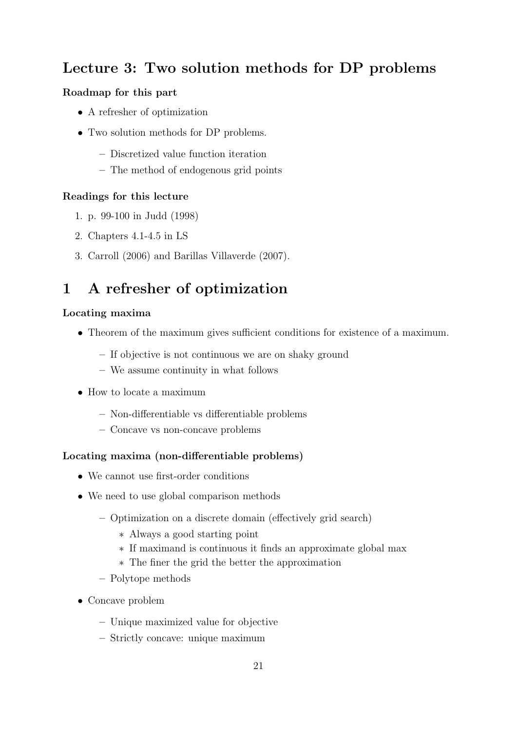# Lecture 3: Two solution methods for DP problems

## Roadmap for this part

- A refresher of optimization
- Two solution methods for DP problems.
	- Discretized value function iteration
	- The method of endogenous grid points

## Readings for this lecture

- 1. p. 99-100 in Judd (1998)
- 2. Chapters 4.1-4.5 in LS
- 3. Carroll (2006) and Barillas Villaverde (2007).

# 1 A refresher of optimization

## Locating maxima

- Theorem of the maximum gives sufficient conditions for existence of a maximum.
	- If objective is not continuous we are on shaky ground
	- We assume continuity in what follows
- How to locate a maximum
	- Non-differentiable vs differentiable problems
	- Concave vs non-concave problems

## Locating maxima (non-differentiable problems)

- We cannot use first-order conditions
- We need to use global comparison methods
	- Optimization on a discrete domain (effectively grid search)
		- ∗ Always a good starting point
		- ∗ If maximand is continuous it finds an approximate global max
		- ∗ The finer the grid the better the approximation
	- Polytope methods
- Concave problem
	- Unique maximized value for objective
	- Strictly concave: unique maximum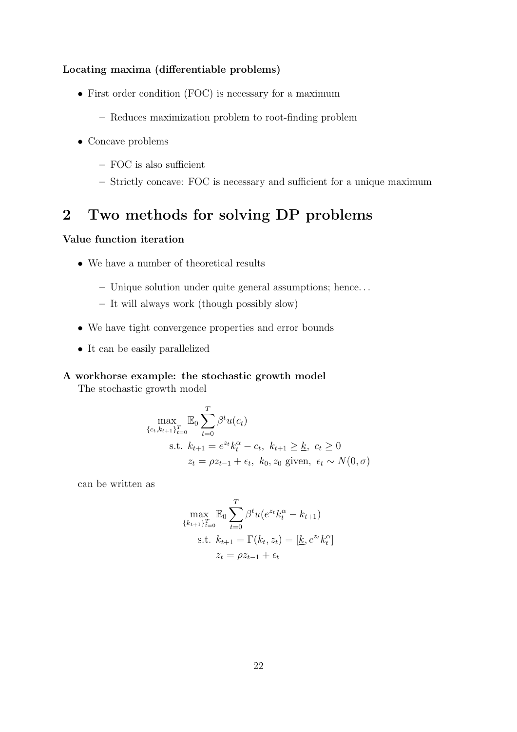#### Locating maxima (differentiable problems)

- First order condition (FOC) is necessary for a maximum
	- Reduces maximization problem to root-finding problem
- Concave problems
	- FOC is also sufficient
	- Strictly concave: FOC is necessary and sufficient for a unique maximum

# 2 Two methods for solving DP problems

#### Value function iteration

- We have a number of theoretical results
	- Unique solution under quite general assumptions; hence. . .
	- It will always work (though possibly slow)
- We have tight convergence properties and error bounds
- It can be easily parallelized

#### A workhorse example: the stochastic growth model

The stochastic growth model

$$
\max_{\{c_t, k_{t+1}\}_{t=0}^T} \mathbb{E}_0 \sum_{t=0}^T \beta^t u(c_t)
$$
\n
$$
\text{s.t. } k_{t+1} = e^{z_t} k_t^{\alpha} - c_t, \ k_{t+1} \geq \underline{k}, \ c_t \geq 0
$$
\n
$$
z_t = \rho z_{t-1} + \epsilon_t, \ k_0, z_0 \text{ given, } \epsilon_t \sim N(0, \sigma)
$$

can be written as

$$
\max_{\{k_{t+1}\}_{t=0}^{T}} \mathbb{E}_{0} \sum_{t=0}^{T} \beta^{t} u(e^{z_{t}} k_{t}^{\alpha} - k_{t+1})
$$
  
s.t.  $k_{t+1} = \Gamma(k_{t}, z_{t}) = [\underline{k}, e^{z_{t}} k_{t}^{\alpha}]$   
 $z_{t} = \rho z_{t-1} + \epsilon_{t}$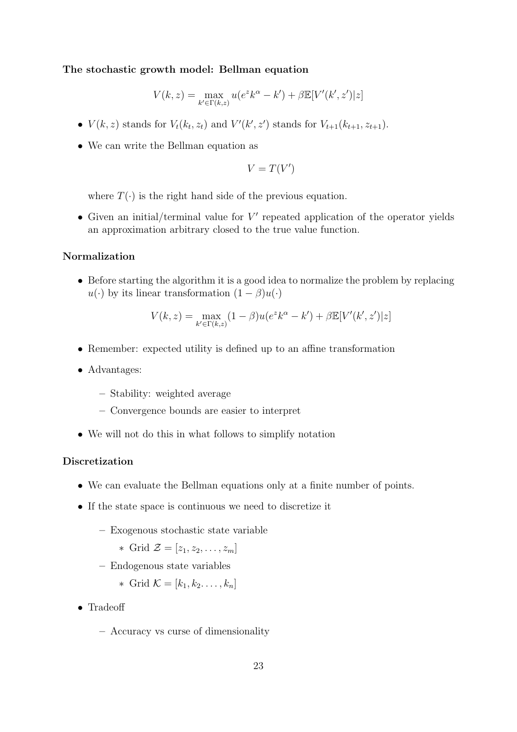#### The stochastic growth model: Bellman equation

$$
V(k, z) = \max_{k' \in \Gamma(k, z)} u(e^z k^\alpha - k') + \beta \mathbb{E}[V'(k', z')]z]
$$

- $V(k, z)$  stands for  $V_t(k_t, z_t)$  and  $V'(k', z')$  stands for  $V_{t+1}(k_{t+1}, z_{t+1})$ .
- We can write the Bellman equation as

$$
V = T(V')
$$

where  $T(\cdot)$  is the right hand side of the previous equation.

 $\bullet$  Given an initial/terminal value for  $V'$  repeated application of the operator yields an approximation arbitrary closed to the true value function.

#### Normalization

• Before starting the algorithm it is a good idea to normalize the problem by replacing  $u(\cdot)$  by its linear transformation  $(1 - \beta)u(\cdot)$ 

$$
V(k, z) = \max_{k' \in \Gamma(k, z)} (1 - \beta) u(e^{z} k^{\alpha} - k') + \beta \mathbb{E}[V'(k', z')]z]
$$

- Remember: expected utility is defined up to an affine transformation
- Advantages:
	- Stability: weighted average
	- Convergence bounds are easier to interpret
- We will not do this in what follows to simplify notation

#### Discretization

- We can evaluate the Bellman equations only at a finite number of points.
- If the state space is continuous we need to discretize it
	- Exogenous stochastic state variable
		- ∗ Grid  $\mathcal{Z} = [z_1, z_2, \ldots, z_m]$
	- Endogenous state variables
		- $\ast$  Grid  $\mathcal{K} = [k_1, k_2, \ldots, k_n]$
- Tradeoff
	- Accuracy vs curse of dimensionality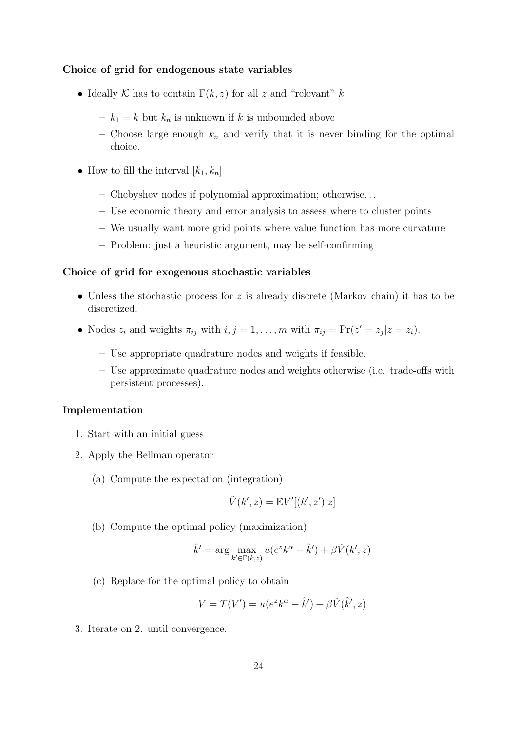#### Choice of grid for endogenous state variables

- Ideally K has to contain  $\Gamma(k, z)$  for all z and "relevant" k
	- $k_1 = \underline{k}$  but  $k_n$  is unknown if k is unbounded above
	- Choose large enough  $k_n$  and verify that it is never binding for the optimal choice.
- How to fill the interval  $[k_1, k_n]$ 
	- Chebyshev nodes if polynomial approximation; otherwise. . .
	- Use economic theory and error analysis to assess where to cluster points
	- We usually want more grid points where value function has more curvature
	- Problem: just a heuristic argument, may be self-confirming

#### Choice of grid for exogenous stochastic variables

- Unless the stochastic process for z is already discrete (Markov chain) it has to be discretized.
- Nodes  $z_i$  and weights  $\pi_{ij}$  with  $i, j = 1, ..., m$  with  $\pi_{ij} = \Pr(z' = z_j | z = z_i)$ .
	- Use appropriate quadrature nodes and weights if feasible.
	- Use approximate quadrature nodes and weights otherwise (i.e. trade-offs with persistent processes).

#### Implementation

- 1. Start with an initial guess
- 2. Apply the Bellman operator
	- (a) Compute the expectation (integration)

$$
\tilde{V}(k',z) = \mathbb{E}V'[(k',z')|z]
$$

(b) Compute the optimal policy (maximization)

$$
\hat{k}' = \arg\max_{k' \in \Gamma(k,z)} u(e^z k^\alpha - \hat{k}') + \beta \tilde{V}(k',z)
$$

(c) Replace for the optimal policy to obtain

$$
V = T(V') = u(e^z k^\alpha - \hat{k}') + \beta \tilde{V}(\hat{k}', z)
$$

3. Iterate on 2. until convergence.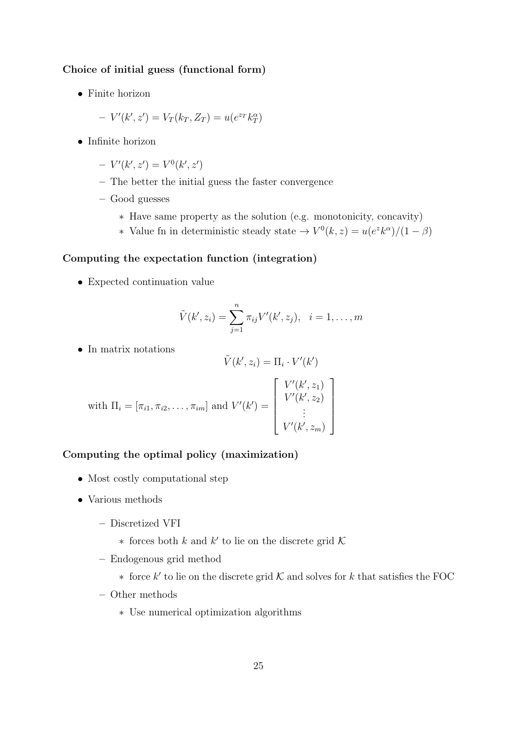#### Choice of initial guess (functional form)

• Finite horizon

$$
-V'(k',z') = V_T(k_T, Z_T) = u(e^{z_T}k_T^{\alpha})
$$

- Infinite horizon
	- $-V'(k', z') = V^0(k', z')$
	- The better the initial guess the faster convergence
	- Good guesses
		- ∗ Have same property as the solution (e.g. monotonicity, concavity)
		- ∗ Value fn in deterministic steady state  $\rightarrow V^0(k, z) = u(e^z k^{\alpha})/(1 \beta)$

#### Computing the expectation function (integration)

• Expected continuation value

$$
\tilde{V}(k', z_i) = \sum_{j=1}^n \pi_{ij} V'(k', z_j), \quad i = 1, ..., m
$$

• In matrix notations

$$
\tilde{V}(k', z_i) = \Pi_i \cdot V'(k')
$$
  
with  $\Pi_i = [\pi_{i1}, \pi_{i2}, \dots, \pi_{im}]$  and  $V'(k') = \begin{bmatrix} V'(k', z_1) \\ V'(k', z_2) \\ \vdots \\ V'(k', z_m) \end{bmatrix}$ 

#### Computing the optimal policy (maximization)

- Most costly computational step
- Various methods
	- Discretized VFI
		- ∗ forces both  $k$  and  $k'$  to lie on the discrete grid  $K$
	- Endogenous grid method
		- ∗ force  $k'$  to lie on the discrete grid  $K$  and solves for  $k$  that satisfies the FOC
	- Other methods
		- ∗ Use numerical optimization algorithms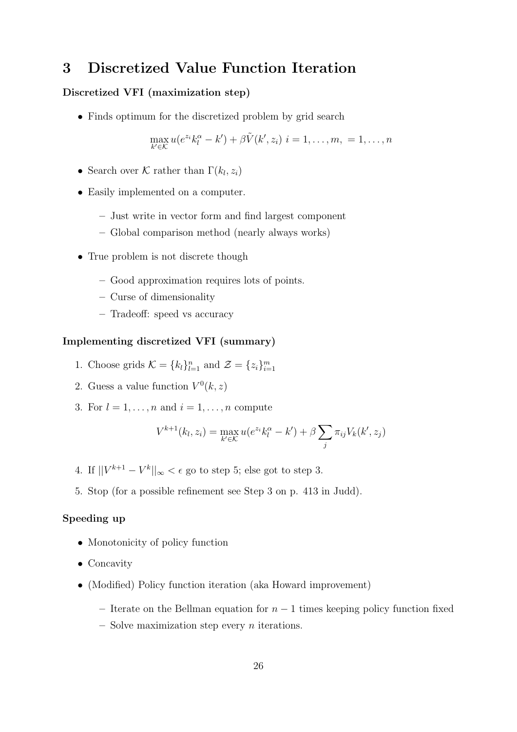## 3 Discretized Value Function Iteration

## Discretized VFI (maximization step)

• Finds optimum for the discretized problem by grid search

$$
\max_{k' \in \mathcal{K}} u(e^{z_i}k_l^{\alpha} - k') + \beta \tilde{V}(k', z_i) \quad i = 1, \dots, m, = 1, \dots, n
$$

- Search over K rather than  $\Gamma(k_l, z_i)$
- Easily implemented on a computer.
	- Just write in vector form and find largest component
	- Global comparison method (nearly always works)
- True problem is not discrete though
	- Good approximation requires lots of points.
	- Curse of dimensionality
	- Tradeoff: speed vs accuracy

#### Implementing discretized VFI (summary)

- 1. Choose grids  $\mathcal{K} = \{k_l\}_{l=1}^n$  and  $\mathcal{Z} = \{z_i\}_{i=1}^m$
- 2. Guess a value function  $V^0(k, z)$
- 3. For  $l = 1, \ldots, n$  and  $i = 1, \ldots, n$  compute

$$
V^{k+1}(k_l, z_i) = \max_{k' \in \mathcal{K}} u(e^{z_i} k_l^{\alpha} - k') + \beta \sum_j \pi_{ij} V_k(k', z_j)
$$

- 4. If  $||V^{k+1} V^k||_{\infty} < \epsilon$  go to step 5; else got to step 3.
- 5. Stop (for a possible refinement see Step 3 on p. 413 in Judd).

## Speeding up

- Monotonicity of policy function
- Concavity
- (Modified) Policy function iteration (aka Howard improvement)
	- Iterate on the Bellman equation for  $n-1$  times keeping policy function fixed
	- $-$  Solve maximization step every  $n$  iterations.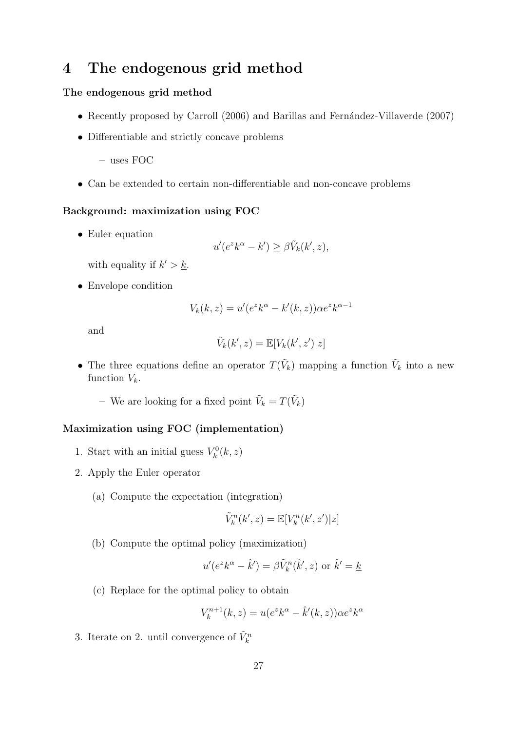# 4 The endogenous grid method

#### The endogenous grid method

- Recently proposed by Carroll (2006) and Barillas and Fernández-Villaverde (2007)
- Differentiable and strictly concave problems
	- uses FOC
- Can be extended to certain non-differentiable and non-concave problems

#### Background: maximization using FOC

• Euler equation

$$
u'(e^{z}k^{\alpha} - k') \geq \beta \tilde{V}_k(k', z),
$$

with equality if  $k' > k$ .

• Envelope condition

$$
V_k(k, z) = u'(e^z k^{\alpha} - k'(k, z))\alpha e^z k^{\alpha - 1}
$$

and

$$
\tilde{V}_k(k',z) = \mathbb{E}[V_k(k',z')|z]
$$

• The three equations define an operator  $T(\tilde{V}_k)$  mapping a function  $\tilde{V}_k$  into a new function  $V_k$ .

– We are looking for a fixed point  $\tilde{V}_k = T(\tilde{V}_k)$ 

#### Maximization using FOC (implementation)

- 1. Start with an initial guess  $V_k^0(k, z)$
- 2. Apply the Euler operator
	- (a) Compute the expectation (integration)

$$
\tilde{V}_k^n(k',z) = \mathbb{E}[V_k^n(k',z')|z]
$$

(b) Compute the optimal policy (maximization)

$$
u'(e^{z}k^{\alpha} - \hat{k}') = \beta \tilde{V}_k^n(\hat{k}', z) \text{ or } \hat{k}' = \underline{k}
$$

(c) Replace for the optimal policy to obtain

$$
V_k^{n+1}(k, z) = u(e^z k^\alpha - \hat{k}'(k, z)) \alpha e^z k^\alpha
$$

3. Iterate on 2. until convergence of  $\tilde{V}_k^n$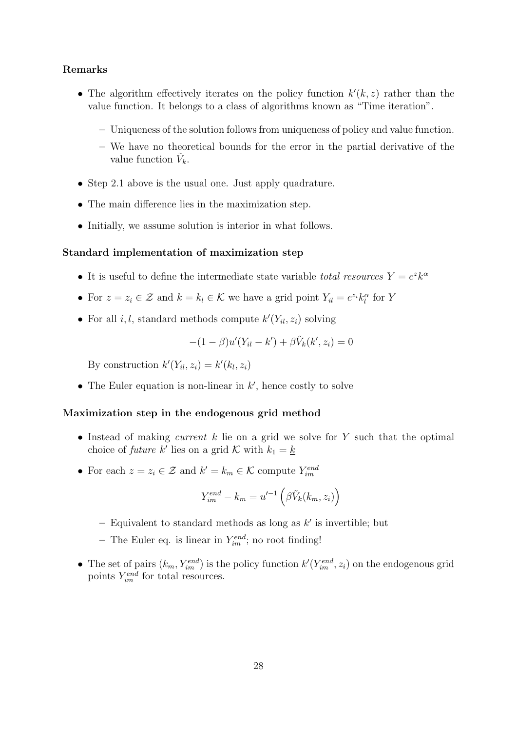#### Remarks

- The algorithm effectively iterates on the policy function  $k'(k, z)$  rather than the value function. It belongs to a class of algorithms known as "Time iteration".
	- Uniqueness of the solution follows from uniqueness of policy and value function.
	- We have no theoretical bounds for the error in the partial derivative of the value function  $\tilde{V}_k$ .
- Step 2.1 above is the usual one. Just apply quadrature.
- The main difference lies in the maximization step.
- Initially, we assume solution is interior in what follows.

#### Standard implementation of maximization step

- It is useful to define the intermediate state variable *total resources*  $Y = e^{z}k^{\alpha}$
- For  $z = z_i \in \mathcal{Z}$  and  $k = k_l \in \mathcal{K}$  we have a grid point  $Y_{il} = e^{z_i} k_l^{\alpha}$  for Y
- For all  $i, l$ , standard methods compute  $k'(Y_{il}, z_i)$  solving

$$
-(1-\beta)u'(Y_{il}-k') + \beta \tilde{V}_k(k',z_i) = 0
$$

By construction  $k'(Y_{il}, z_i) = k'(k_l, z_i)$ 

• The Euler equation is non-linear in  $k'$ , hence costly to solve

#### Maximization step in the endogenous grid method

- Instead of making *current*  $k$  lie on a grid we solve for  $Y$  such that the optimal choice of *future*  $k'$  lies on a grid  $K$  with  $k_1 = \underline{k}$
- For each  $z = z_i \in \mathcal{Z}$  and  $k' = k_m \in \mathcal{K}$  compute  $Y_{im}^{end}$

$$
Y_{im}^{end} - k_m = u'^{-1} \left( \beta \tilde{V}_k(k_m, z_i) \right)
$$

- Equivalent to standard methods as long as  $k'$  is invertible; but
- The Euler eq. is linear in  $Y_{im}^{end}$ ; no root finding!
- The set of pairs  $(k_m, Y_{im}^{end})$  is the policy function  $k'(Y_{im}^{end}, z_i)$  on the endogenous grid points  $Y_{im}^{end}$  for total resources.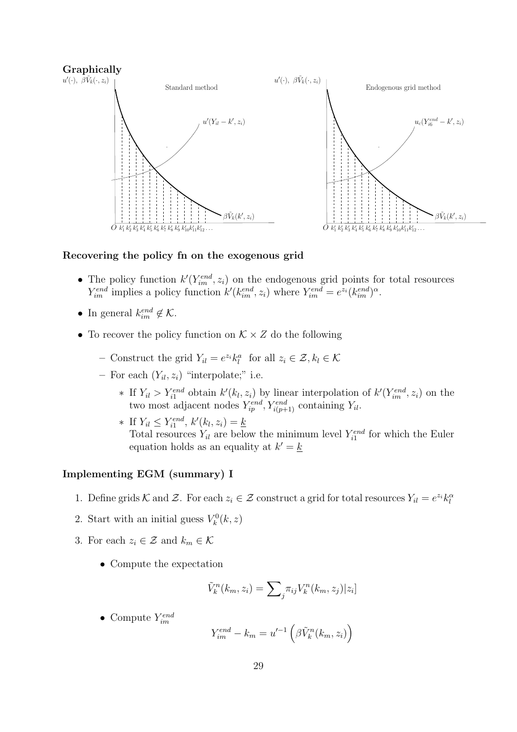#### Graphically



#### Recovering the policy fn on the exogenous grid

- The policy function  $k'(Y_{im}^{end}, z_i)$  on the endogenous grid points for total resources  $Y_{im}^{end}$  implies a policy function  $k'(k_{im}^{end}, z_i)$  where  $Y_{im}^{end} = e^{z_i} (k_{im}^{end})^{\alpha}$ .
- In general  $k_{im}^{end} \notin \mathcal{K}$ .
- To recover the policy function on  $K \times Z$  do the following
	- Construct the grid  $Y_{il} = e^{z_i} k_l^a$  for all  $z_i \in \mathcal{Z}, k_l \in \mathcal{K}$
	- For each  $(Y_{il}, z_i)$  "interpolate;" i.e.
		- ∗ If  $Y_{il} > Y_{i1}^{end}$  obtain  $k'(k_l, z_i)$  by linear interpolation of  $k'(Y_{im}^{end}, z_i)$  on the two most adjacent nodes  $Y_{ip}^{end}$ ,  $Y_{i(p+1)}^{end}$  containing  $Y_{il}$ .
		- \* If  $Y_{il} \leq Y_{i1}^{end}, k'(k_l, z_i) = \underline{k}$ Total resources  $Y_{il}$  are below the minimum level  $Y_{i1}^{end}$  for which the Euler equation holds as an equality at  $k' = k$

#### Implementing EGM (summary) I

- 1. Define grids K and Z. For each  $z_i \in \mathcal{Z}$  construct a grid for total resources  $Y_{il} = e^{z_i} k_l^{\alpha}$
- 2. Start with an initial guess  $V_k^0(k, z)$
- 3. For each  $z_i \in \mathcal{Z}$  and  $k_m \in \mathcal{K}$ 
	- Compute the expectation

$$
\tilde{V}_k^n(k_m, z_i) = \sum_j \pi_{ij} V_k^n(k_m, z_j) |z_i|
$$

• Compute  $Y_{im}^{end}$ 

$$
Y_{im}^{end} - k_m = u'^{-1} \left( \beta \tilde{V}_k^n(k_m, z_i) \right)
$$